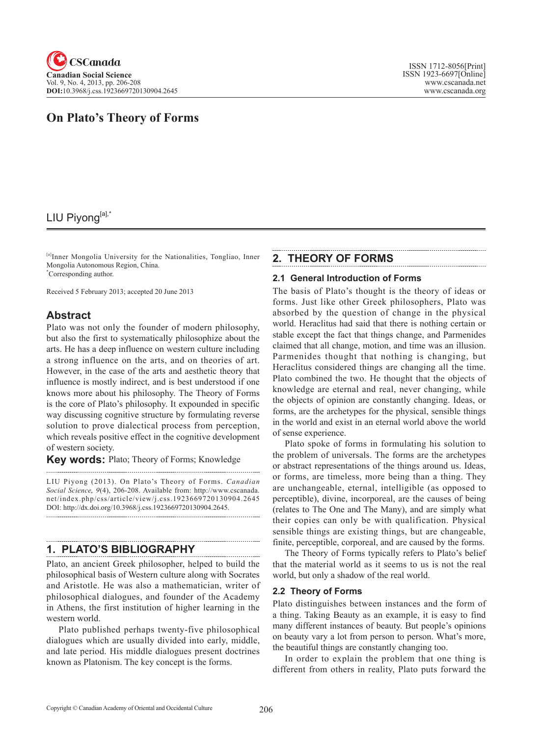

# **On Plato's Theory of Forms**

## LIU Piyong[a],\*

[a]Inner Mongolia University for the Nationalities, Tongliao, Inner Mongolia Autonomous Region, China. \* Corresponding author.

Received 5 February 2013; accepted 20 June 2013

## **Abstract**

Plato was not only the founder of modern philosophy, but also the first to systematically philosophize about the arts. He has a deep influence on western culture including a strong influence on the arts, and on theories of art. However, in the case of the arts and aesthetic theory that influence is mostly indirect, and is best understood if one knows more about his philosophy. The Theory of Forms is the core of Plato's philosophy. It expounded in specific way discussing cognitive structure by formulating reverse solution to prove dialectical process from perception, which reveals positive effect in the cognitive development of western society.

**Key words:** Plato; Theory of Forms; Knowledge

LIU Piyong (2013). On Plato's Theory of Forms. *Canadian Social Science*, <sup>9</sup>(4), 206-208. Available from: http://www.cscanada. net/index.php/css/article/view/j.css.1923669720130904.2645 DOI: http://dx.doi.org/10.3968/j.css.1923669720130904.2645. 

### **1. PLATO'S BIBLIOGRAPHY**

Plato, an ancient Greek philosopher, helped to build the philosophical basis of Western culture along with Socrates and Aristotle. He was also a mathematician, writer of philosophical dialogues, and founder of the Academy in Athens, the first institution of higher learning in the western world.

Plato published perhaps twenty-five philosophical dialogues which are usually divided into early, middle, and late period. His middle dialogues present doctrines known as Platonism. The key concept is the forms.

## **2. THEORY OF FORMS**

#### **2.1 General Introduction of Forms**

The basis of Plato's thought is the theory of ideas or forms. Just like other Greek philosophers, Plato was absorbed by the question of change in the physical world. Heraclitus had said that there is nothing certain or stable except the fact that things change, and Parmenides claimed that all change, motion, and time was an illusion. Parmenides thought that nothing is changing, but Heraclitus considered things are changing all the time. Plato combined the two. He thought that the objects of knowledge are eternal and real, never changing, while the objects of opinion are constantly changing. Ideas, or forms, are the archetypes for the physical, sensible things in the world and exist in an eternal world above the world of sense experience.

Plato spoke of forms in formulating his solution to the problem of universals. The forms are the archetypes or abstract representations of the things around us. Ideas, or forms, are timeless, more being than a thing. They are unchangeable, eternal, intelligible (as opposed to perceptible), divine, incorporeal, are the causes of being (relates to The One and The Many), and are simply what their copies can only be with qualification. Physical sensible things are existing things, but are changeable, finite, perceptible, corporeal, and are caused by the forms.

The Theory of Forms typically refers to Plato's belief that the material world as it seems to us is not the real world, but only a shadow of the real world.

#### **2.2 Theory of Forms**

Plato distinguishes between instances and the form of a thing. Taking Beauty as an example, it is easy to find many different instances of beauty. But people's opinions on beauty vary a lot from person to person. What's more, the beautiful things are constantly changing too.

In order to explain the problem that one thing is different from others in reality, Plato puts forward the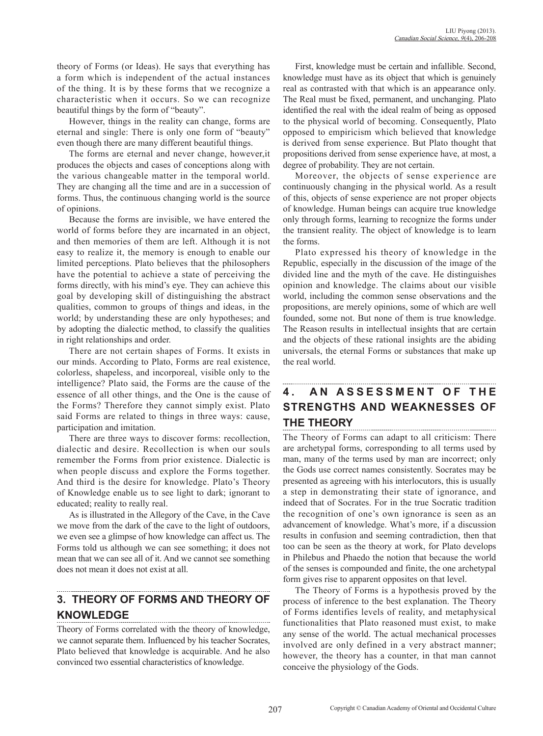theory of Forms (or Ideas). He says that everything has a form which is independent of the actual instances of the thing. It is by these forms that we recognize a characteristic when it occurs. So we can recognize beautiful things by the form of "beauty".

However, things in the reality can change, forms are eternal and single: There is only one form of "beauty" even though there are many different beautiful things.

The forms are eternal and never change, however,it produces the objects and cases of conceptions along with the various changeable matter in the temporal world. They are changing all the time and are in a succession of forms. Thus, the continuous changing world is the source of opinions.

Because the forms are invisible, we have entered the world of forms before they are incarnated in an object, and then memories of them are left. Although it is not easy to realize it, the memory is enough to enable our limited perceptions. Plato believes that the philosophers have the potential to achieve a state of perceiving the forms directly, with his mind's eye. They can achieve this goal by developing skill of distinguishing the abstract qualities, common to groups of things and ideas, in the world; by understanding these are only hypotheses; and by adopting the dialectic method, to classify the qualities in right relationships and order.

There are not certain shapes of Forms. It exists in our minds. According to Plato, Forms are real existence, colorless, shapeless, and incorporeal, visible only to the intelligence? Plato said, the Forms are the cause of the essence of all other things, and the One is the cause of the Forms? Therefore they cannot simply exist. Plato said Forms are related to things in three ways: cause, participation and imitation.

There are three ways to discover forms: recollection, dialectic and desire. Recollection is when our souls remember the Forms from prior existence. Dialectic is when people discuss and explore the Forms together. And third is the desire for knowledge. Plato's Theory of Knowledge enable us to see light to dark; ignorant to educated; reality to really real.

As is illustrated in the Allegory of the Cave, in the Cave we move from the dark of the cave to the light of outdoors, we even see a glimpse of how knowledge can affect us. The Forms told us although we can see something; it does not mean that we can see all of it. And we cannot see something does not mean it does not exist at all.

# **3. THEORY OF FORMS AND THEORY OF KNOWLEDGE**

Theory of Forms correlated with the theory of knowledge, we cannot separate them. Influenced by his teacher Socrates, Plato believed that knowledge is acquirable. And he also convinced two essential characteristics of knowledge.

First, knowledge must be certain and infallible. Second, knowledge must have as its object that which is genuinely real as contrasted with that which is an appearance only. The Real must be fixed, permanent, and unchanging. Plato identified the real with the ideal realm of being as opposed to the physical world of becoming. Consequently, Plato opposed to empiricism which believed that knowledge is derived from sense experience. But Plato thought that propositions derived from sense experience have, at most, a degree of probability. They are not certain.

Moreover, the objects of sense experience are continuously changing in the physical world. As a result of this, objects of sense experience are not proper objects of knowledge. Human beings can acquire true knowledge only through forms, learning to recognize the forms under the transient reality. The object of knowledge is to learn the forms.

Plato expressed his theory of knowledge in the Republic, especially in the discussion of the image of the divided line and the myth of the cave. He distinguishes opinion and knowledge. The claims about our visible world, including the common sense observations and the propositions, are merely opinions, some of which are well founded, some not. But none of them is true knowledge. The Reason results in intellectual insights that are certain and the objects of these rational insights are the abiding universals, the eternal Forms or substances that make up the real world.

## **4. AN ASSESSMENT OF THE STRENGTHS AND WEAKNESSES OF THE THEORY**

The Theory of Forms can adapt to all criticism: There are archetypal forms, corresponding to all terms used by man, many of the terms used by man are incorrect; only the Gods use correct names consistently. Socrates may be presented as agreeing with his interlocutors, this is usually a step in demonstrating their state of ignorance, and indeed that of Socrates. For in the true Socratic tradition the recognition of one's own ignorance is seen as an advancement of knowledge. What's more, if a discussion results in confusion and seeming contradiction, then that too can be seen as the theory at work, for Plato develops in Philebus and Phaedo the notion that because the world of the senses is compounded and finite, the one archetypal form gives rise to apparent opposites on that level.

The Theory of Forms is a hypothesis proved by the process of inference to the best explanation. The Theory of Forms identifies levels of reality, and metaphysical functionalities that Plato reasoned must exist, to make any sense of the world. The actual mechanical processes involved are only defined in a very abstract manner; however, the theory has a counter, in that man cannot conceive the physiology of the Gods.